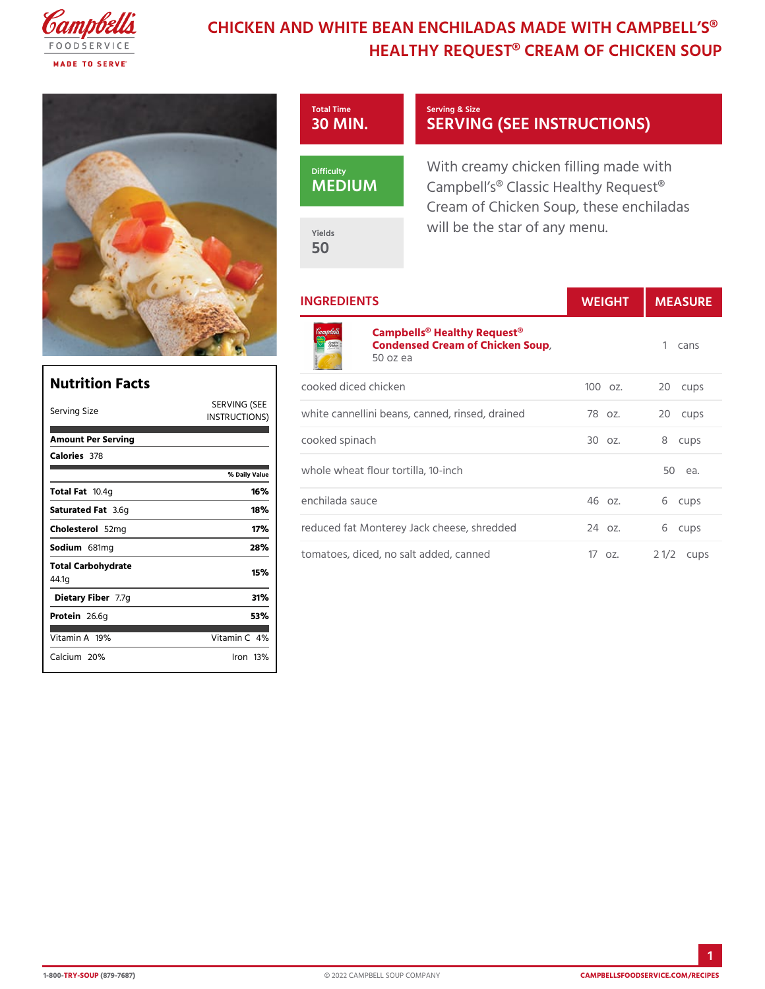# CHICKEN AND WHITE BEAN ENCHILADAS MAD HEALTHY REQUEST® CREAM OF



### INGREDIENTS WEIGH MEASURE

#### [Campbells® Healthy R](https://www.campbellsfoodservice.com/product/cream-of-chicken-soup)equest® Condensed Cream of Chicken Soup 1 cans 50 oz ea

| Nutrition Facts             |                                            | C ( |
|-----------------------------|--------------------------------------------|-----|
| Serving Size                | SERVING (SEE<br>INSTRUCT IONS <sup>W</sup> |     |
| Amount Per Serving          |                                            | C١  |
| Calorie3s78                 |                                            |     |
|                             | % Daily Vallue                             | W   |
| Total Fao.4g                | 16%                                        |     |
| Saturated 3F.&fg            | 18%                                        | e   |
| Choleste 5 o2 lm g          | 17%                                        | rє  |
| Sodium 681 mg               | 28%                                        | t c |
| Total Carbohydrate<br>44.1g | 15%                                        |     |
| Dietary F7ib7eg             | 31%                                        |     |
| Protei <sub>26.6g</sub>     | 53%                                        |     |
| Vitamin1A9%                 | Vitamin4 <b>%</b>                          |     |
| Calciu2n0%                  | $l$ ron 13 $\%$                            |     |
|                             |                                            |     |

|       |                 | cooked diced chicken                                               |  | 100oz. 20 cups |        |
|-------|-----------------|--------------------------------------------------------------------|--|----------------|--------|
| (SEE) |                 | ,<br>Nongyhite cannellini beans, canned, rins7e8dρzdrain2e0d cups; |  |                |        |
|       | cooked spinach  |                                                                    |  | 30 oz. 8 cups  |        |
| lue   |                 | whole wheat flour tortilla, 10-inch                                |  |                | 50 еа. |
|       | enchilada sauce |                                                                    |  | 46 oz. 6 cups  |        |
|       |                 | reduced fat Monterey Jack cheese, \$4redded 6 cups                 |  |                |        |
|       |                 | tomatoes, diced, no salt added, cannet $\phi$ z. 2 1/2cups         |  |                |        |